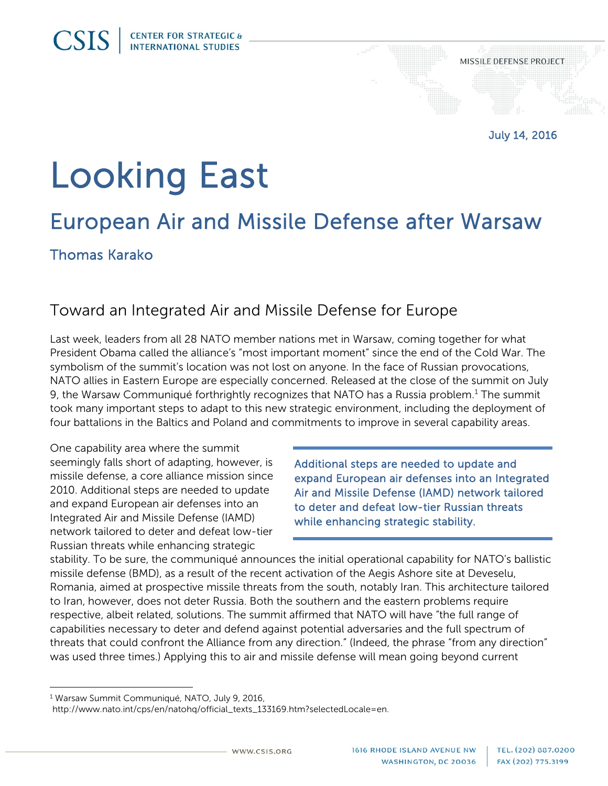# Looking East

## European Air and Missile Defense after Warsaw

Thomas Karako

**CSIS** 

#### Toward an Integrated Air and Missile Defense for Europe

Last week, leaders from all 28 NATO member nations met in Warsaw, coming together for what President Obama called the alliance's "most important moment" since the end of the Cold War. The symbolism of the summit's location was not lost on anyone. In the face of Russian provocations, NATO allies in Eastern Europe are especially concerned. Released at the close of the summit on July 9, the Warsaw Communiqué forthrightly recognizes that NATO has a Russia problem.<sup>[1](#page-0-0)</sup> The summit took many important steps to adapt to this new strategic environment, including the deployment of four battalions in the Baltics and Poland and commitments to improve in several capability areas.

One capability area where the summit seemingly falls short of adapting, however, is missile defense, a core alliance mission since 2010. Additional steps are needed to update and expand European air defenses into an Integrated Air and Missile Defense (IAMD) network tailored to deter and defeat low-tier Russian threats while enhancing strategic

Additional steps are needed to update and expand European air defenses into an Integrated Air and Missile Defense (IAMD) network tailored to deter and defeat low-tier Russian threats while enhancing strategic stability.

stability. To be sure, the communiqué announces the initial operational capability for NATO's ballistic missile defense (BMD), as a result of the recent activation of the Aegis Ashore site at Deveselu, Romania, aimed at prospective missile threats from the south, notably Iran. This architecture tailored to Iran, however, does not deter Russia. Both the southern and the eastern problems require respective, albeit related, solutions. The summit affirmed that NATO will have "the full range of capabilities necessary to deter and defend against potential adversaries and the full spectrum of threats that could confront the Alliance from any direction." (Indeed, the phrase "from any direction" was used three times.) Applying this to air and missile defense will mean going beyond current

 $\overline{a}$ 

<span id="page-0-0"></span><sup>&</sup>lt;sup>1</sup> Warsaw Summit Communiqué, NATO, July 9, 2016,

[http://www.nato.int/cps/en/natohq/official\\_texts\\_133169.htm?selectedLocale=en.](http://www.nato.int/cps/en/natohq/official_texts_133169.htm?selectedLocale=en)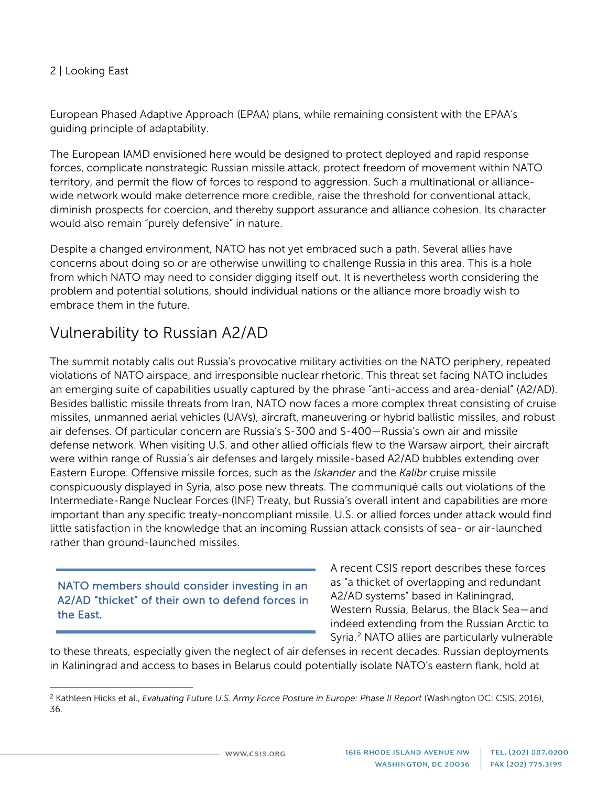#### 2 | Looking East

European Phased Adaptive Approach (EPAA) plans, while remaining consistent with the EPAA's guiding principle of adaptability.

The European IAMD envisioned here would be designed to protect deployed and rapid response forces, complicate nonstrategic Russian missile attack, protect freedom of movement within NATO territory, and permit the flow of forces to respond to aggression. Such a multinational or alliancewide network would make deterrence more credible, raise the threshold for conventional attack, diminish prospects for coercion, and thereby support assurance and alliance cohesion. Its character would also remain "purely defensive" in nature.

Despite a changed environment, NATO has not yet embraced such a path. Several allies have concerns about doing so or are otherwise unwilling to challenge Russia in this area. This is a hole from which NATO may need to consider digging itself out. It is nevertheless worth considering the problem and potential solutions, should individual nations or the alliance more broadly wish to embrace them in the future.

## Vulnerability to Russian A2/AD

The summit notably calls out Russia's provocative military activities on the NATO periphery, repeated violations of NATO airspace, and irresponsible nuclear rhetoric. This threat set facing NATO includes an emerging suite of capabilities usually captured by the phrase "anti-access and area-denial" (A2/AD). Besides ballistic missile threats from Iran, NATO now faces a more complex threat consisting of cruise missiles, unmanned aerial vehicles (UAVs), aircraft, maneuvering or hybrid ballistic missiles, and robust air defenses. Of particular concern are Russia's S-300 and S-400—Russia's own air and missile defense network. When visiting U.S. and other allied officials flew to the Warsaw airport, their aircraft were within range of Russia's air defenses and largely missile-based A2/AD bubbles extending over Eastern Europe. Offensive missile forces, such as the *Iskander* and the *Kalibr* cruise missile conspicuously displayed in Syria, also pose new threats. The communiqué calls out violations of the Intermediate-Range Nuclear Forces (INF) Treaty, but Russia's overall intent and capabilities are more important than any specific treaty-noncompliant missile. U.S. or allied forces under attack would find little satisfaction in the knowledge that an incoming Russian attack consists of sea- or air-launched rather than ground-launched missiles.

#### NATO members should consider investing in an A2/AD "thicket" of their own to defend forces in the East.

 $\overline{a}$ 

A recent CSIS report describes these forces as "a thicket of overlapping and redundant A2/AD systems" based in Kaliningrad, Western Russia, Belarus, the Black Sea—and indeed extending from the Russian Arctic to Syria.<sup>[2](#page-1-0)</sup> NATO allies are particularly vulnerable

to these threats, especially given the neglect of air defenses in recent decades. Russian deployments in Kaliningrad and access to bases in Belarus could potentially isolate NATO's eastern flank, hold at

<span id="page-1-0"></span><sup>2</sup> Kathleen Hicks et al., *Evaluating Future U.S. Army Force Posture in Europe: Phase II Report* (Washington DC: CSIS, 2016), 36.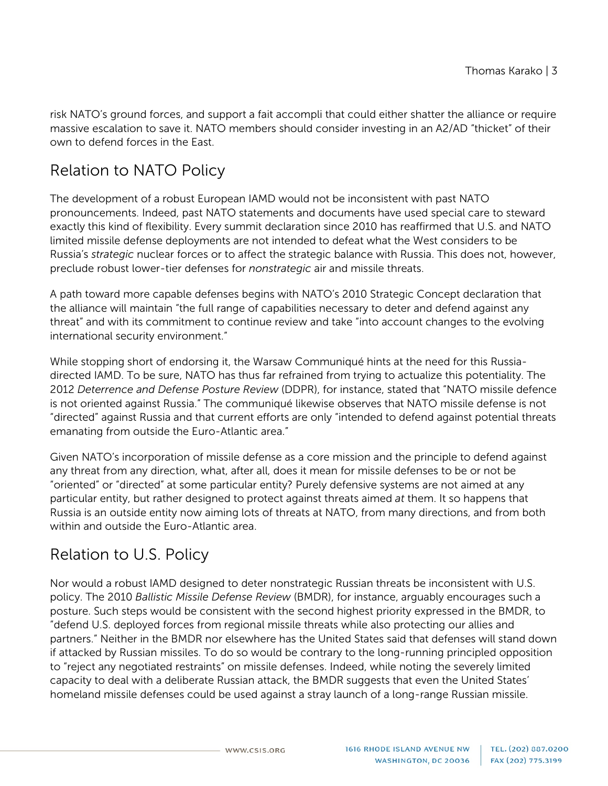risk NATO's ground forces, and support a fait accompli that could either shatter the alliance or require massive escalation to save it. NATO members should consider investing in an A2/AD "thicket" of their own to defend forces in the East.

## Relation to NATO Policy

The development of a robust European IAMD would not be inconsistent with past NATO pronouncements. Indeed, past NATO statements and documents have used special care to steward exactly this kind of flexibility. Every summit declaration since 2010 has reaffirmed that U.S. and NATO limited missile defense deployments are not intended to defeat what the West considers to be Russia's *strategic* nuclear forces or to affect the strategic balance with Russia. This does not, however, preclude robust lower-tier defenses for *nonstrategic* air and missile threats.

A path toward more capable defenses begins with NATO's 2010 Strategic Concept declaration that the alliance will maintain "the full range of capabilities necessary to deter and defend against any threat" and with its commitment to continue review and take "into account changes to the evolving international security environment."

While stopping short of endorsing it, the Warsaw Communiqué hints at the need for this Russiadirected IAMD. To be sure, NATO has thus far refrained from trying to actualize this potentiality. The 2012 *Deterrence and Defense Posture Review* (DDPR), for instance, stated that "NATO missile defence is not oriented against Russia." The communiqué likewise observes that NATO missile defense is not "directed" against Russia and that current efforts are only "intended to defend against potential threats emanating from outside the Euro-Atlantic area."

Given NATO's incorporation of missile defense as a core mission and the principle to defend against any threat from any direction, what, after all, does it mean for missile defenses to be or not be "oriented" or "directed" at some particular entity? Purely defensive systems are not aimed at any particular entity, but rather designed to protect against threats aimed *at* them. It so happens that Russia is an outside entity now aiming lots of threats at NATO, from many directions, and from both within and outside the Euro-Atlantic area.

#### Relation to U.S. Policy

Nor would a robust IAMD designed to deter nonstrategic Russian threats be inconsistent with U.S. policy. The 2010 *Ballistic Missile Defense Review* (BMDR), for instance, arguably encourages such a posture. Such steps would be consistent with the second highest priority expressed in the BMDR, to "defend U.S. deployed forces from regional missile threats while also protecting our allies and partners." Neither in the BMDR nor elsewhere has the United States said that defenses will stand down if attacked by Russian missiles. To do so would be contrary to the long-running principled opposition to "reject any negotiated restraints" on missile defenses. Indeed, while noting the severely limited capacity to deal with a deliberate Russian attack, the BMDR suggests that even the United States' homeland missile defenses could be used against a stray launch of a long-range Russian missile.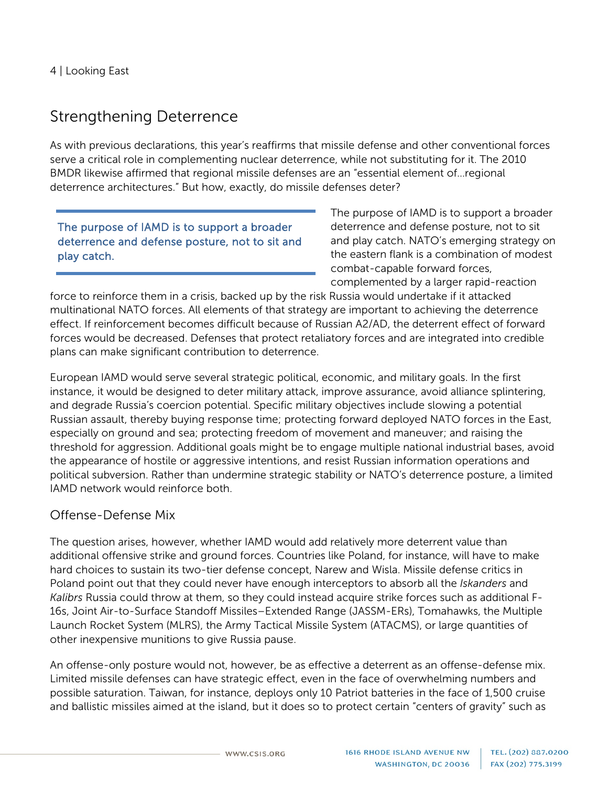#### Strengthening Deterrence

As with previous declarations, this year's reaffirms that missile defense and other conventional forces serve a critical role in complementing nuclear deterrence, while not substituting for it. The 2010 BMDR likewise affirmed that regional missile defenses are an "essential element of…regional deterrence architectures." But how, exactly, do missile defenses deter?

The purpose of IAMD is to support a broader deterrence and defense posture, not to sit and play catch.

The purpose of IAMD is to support a broader deterrence and defense posture, not to sit and play catch. NATO's emerging strategy on the eastern flank is a combination of modest combat-capable forward forces, complemented by a larger rapid-reaction

force to reinforce them in a crisis, backed up by the risk Russia would undertake if it attacked multinational NATO forces. All elements of that strategy are important to achieving the deterrence effect. If reinforcement becomes difficult because of Russian A2/AD, the deterrent effect of forward forces would be decreased. Defenses that protect retaliatory forces and are integrated into credible plans can make significant contribution to deterrence.

European IAMD would serve several strategic political, economic, and military goals. In the first instance, it would be designed to deter military attack, improve assurance, avoid alliance splintering, and degrade Russia's coercion potential. Specific military objectives include slowing a potential Russian assault, thereby buying response time; protecting forward deployed NATO forces in the East, especially on ground and sea; protecting freedom of movement and maneuver; and raising the threshold for aggression. Additional goals might be to engage multiple national industrial bases, avoid the appearance of hostile or aggressive intentions, and resist Russian information operations and political subversion. Rather than undermine strategic stability or NATO's deterrence posture, a limited IAMD network would reinforce both.

#### Offense-Defense Mix

The question arises, however, whether IAMD would add relatively more deterrent value than additional offensive strike and ground forces. Countries like Poland, for instance, will have to make hard choices to sustain its two-tier defense concept, Narew and Wisla. Missile defense critics in Poland point out that they could never have enough interceptors to absorb all the *Iskanders* and *Kalibrs* Russia could throw at them, so they could instead acquire strike forces such as additional F-16s, Joint Air-to-Surface Standoff Missiles–Extended Range (JASSM-ERs), Tomahawks, the Multiple Launch Rocket System (MLRS), the Army Tactical Missile System (ATACMS), or large quantities of other inexpensive munitions to give Russia pause.

An offense-only posture would not, however, be as effective a deterrent as an offense-defense mix. Limited missile defenses can have strategic effect, even in the face of overwhelming numbers and possible saturation. Taiwan, for instance, deploys only 10 Patriot batteries in the face of 1,500 cruise and ballistic missiles aimed at the island, but it does so to protect certain "centers of gravity" such as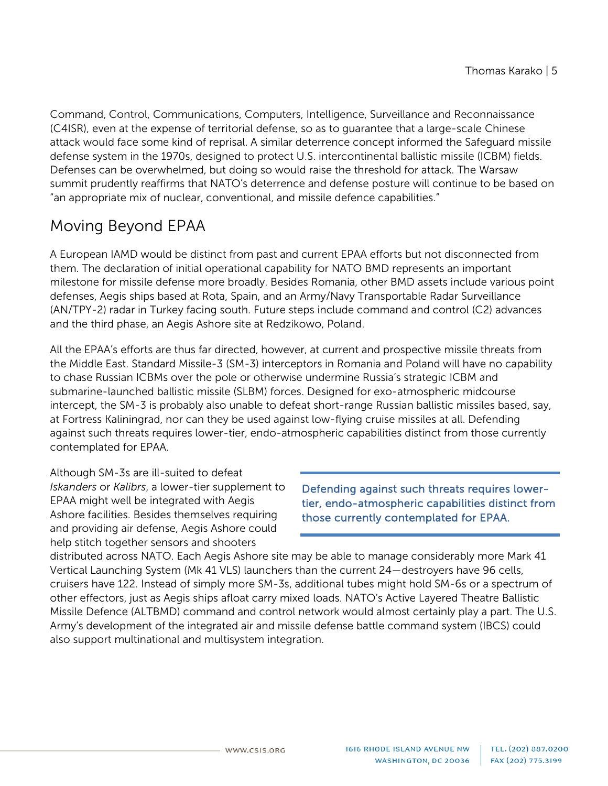Command, Control, Communications, Computers, Intelligence, Surveillance and Reconnaissance (C4ISR), even at the expense of territorial defense, so as to guarantee that a large-scale Chinese attack would face some kind of reprisal. A similar deterrence concept informed the Safeguard missile defense system in the 1970s, designed to protect U.S. intercontinental ballistic missile (ICBM) fields. Defenses can be overwhelmed, but doing so would raise the threshold for attack. The Warsaw summit prudently reaffirms that NATO's deterrence and defense posture will continue to be based on "an appropriate mix of nuclear, conventional, and missile defence capabilities."

## Moving Beyond EPAA

A European IAMD would be distinct from past and current EPAA efforts but not disconnected from them. The declaration of initial operational capability for NATO BMD represents an important milestone for missile defense more broadly. Besides Romania, other BMD assets include various point defenses, Aegis ships based at Rota, Spain, and an Army/Navy Transportable Radar Surveillance (AN/TPY-2) radar in Turkey facing south. Future steps include command and control (C2) advances and the third phase, an Aegis Ashore site at Redzikowo, Poland.

All the EPAA's efforts are thus far directed, however, at current and prospective missile threats from the Middle East. Standard Missile-3 (SM-3) interceptors in Romania and Poland will have no capability to chase Russian ICBMs over the pole or otherwise undermine Russia's strategic ICBM and submarine-launched ballistic missile (SLBM) forces. Designed for exo-atmospheric midcourse intercept, the SM-3 is probably also unable to defeat short-range Russian ballistic missiles based, say, at Fortress Kaliningrad, nor can they be used against low-flying cruise missiles at all. Defending against such threats requires lower-tier, endo-atmospheric capabilities distinct from those currently contemplated for EPAA.

Although SM-3s are ill-suited to defeat *Iskanders* or *Kalibrs*, a lower-tier supplement to EPAA might well be integrated with Aegis Ashore facilities. Besides themselves requiring and providing air defense, Aegis Ashore could help stitch together sensors and shooters

Defending against such threats requires lowertier, endo-atmospheric capabilities distinct from those currently contemplated for EPAA.

distributed across NATO. Each Aegis Ashore site may be able to manage considerably more Mark 41 Vertical Launching System (Mk 41 VLS) launchers than the current 24—destroyers have 96 cells, cruisers have 122. Instead of simply more SM-3s, additional tubes might hold SM-6s or a spectrum of other effectors, just as Aegis ships afloat carry mixed loads. NATO's Active Layered Theatre Ballistic Missile Defence (ALTBMD) command and control network would almost certainly play a part. The U.S. Army's development of the integrated air and missile defense battle command system (IBCS) could also support multinational and multisystem integration.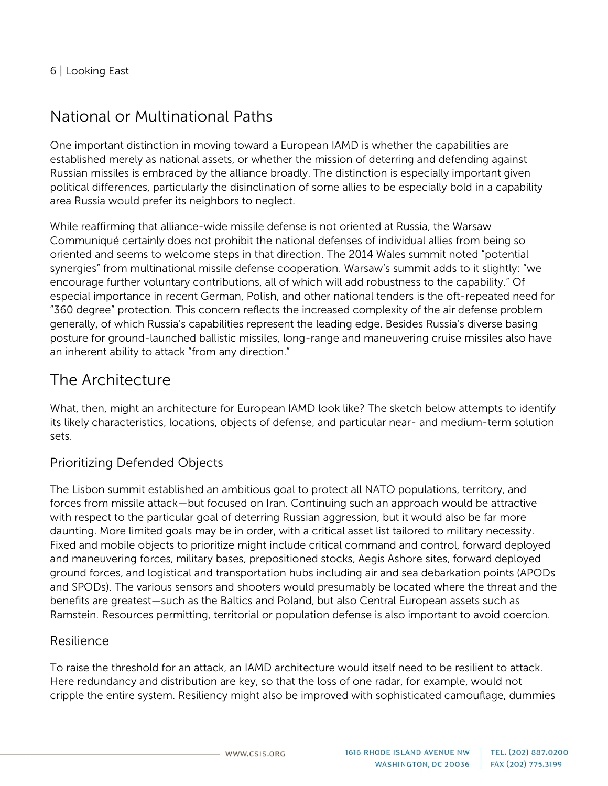## National or Multinational Paths

One important distinction in moving toward a European IAMD is whether the capabilities are established merely as national assets, or whether the mission of deterring and defending against Russian missiles is embraced by the alliance broadly. The distinction is especially important given political differences, particularly the disinclination of some allies to be especially bold in a capability area Russia would prefer its neighbors to neglect.

While reaffirming that alliance-wide missile defense is not oriented at Russia, the Warsaw Communiqué certainly does not prohibit the national defenses of individual allies from being so oriented and seems to welcome steps in that direction. The 2014 Wales summit noted "potential synergies" from multinational missile defense cooperation. Warsaw's summit adds to it slightly: "we encourage further voluntary contributions, all of which will add robustness to the capability." Of especial importance in recent German, Polish, and other national tenders is the oft-repeated need for "360 degree" protection. This concern reflects the increased complexity of the air defense problem generally, of which Russia's capabilities represent the leading edge. Besides Russia's diverse basing posture for ground-launched ballistic missiles, long-range and maneuvering cruise missiles also have an inherent ability to attack "from any direction."

#### The Architecture

What, then, might an architecture for European IAMD look like? The sketch below attempts to identify its likely characteristics, locations, objects of defense, and particular near- and medium-term solution sets.

#### Prioritizing Defended Objects

The Lisbon summit established an ambitious goal to protect all NATO populations, territory, and forces from missile attack—but focused on Iran. Continuing such an approach would be attractive with respect to the particular goal of deterring Russian aggression, but it would also be far more daunting. More limited goals may be in order, with a critical asset list tailored to military necessity. Fixed and mobile objects to prioritize might include critical command and control, forward deployed and maneuvering forces, military bases, prepositioned stocks, Aegis Ashore sites, forward deployed ground forces, and logistical and transportation hubs including air and sea debarkation points (APODs and SPODs). The various sensors and shooters would presumably be located where the threat and the benefits are greatest—such as the Baltics and Poland, but also Central European assets such as Ramstein. Resources permitting, territorial or population defense is also important to avoid coercion.

#### Resilience

To raise the threshold for an attack, an IAMD architecture would itself need to be resilient to attack. Here redundancy and distribution are key, so that the loss of one radar, for example, would not cripple the entire system. Resiliency might also be improved with sophisticated camouflage, dummies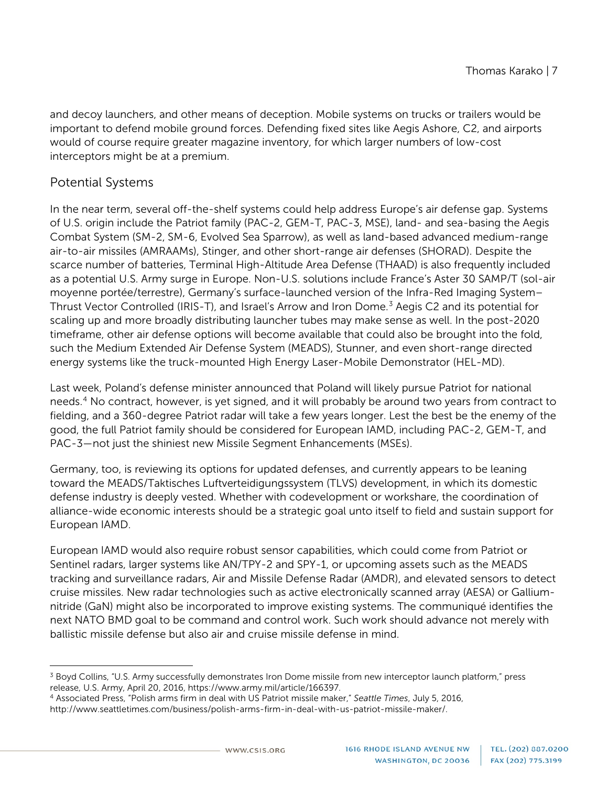and decoy launchers, and other means of deception. Mobile systems on trucks or trailers would be important to defend mobile ground forces. Defending fixed sites like Aegis Ashore, C2, and airports would of course require greater magazine inventory, for which larger numbers of low-cost interceptors might be at a premium.

#### Potential Systems

In the near term, several off-the-shelf systems could help address Europe's air defense gap. Systems of U.S. origin include the Patriot family (PAC-2, GEM-T, PAC-3, MSE), land- and sea-basing the Aegis Combat System (SM-2, SM-6, Evolved Sea Sparrow), as well as land-based advanced medium-range air-to-air missiles (AMRAAMs), Stinger, and other short-range air defenses (SHORAD). Despite the scarce number of batteries, Terminal High-Altitude Area Defense (THAAD) is also frequently included as a potential U.S. Army surge in Europe. Non-U.S. solutions include France's Aster 30 SAMP/T (sol-air moyenne portée/terrestre), Germany's surface-launched version of the Infra-Red Imaging System– Thrust Vector Controlled (IRIS-T), and Israel's Arrow and Iron Dome.<sup>[3](#page-6-0)</sup> Aegis C2 and its potential for scaling up and more broadly distributing launcher tubes may make sense as well. In the post-2020 timeframe, other air defense options will become available that could also be brought into the fold, such the Medium Extended Air Defense System (MEADS), Stunner, and even short-range directed energy systems like the truck-mounted High Energy Laser-Mobile Demonstrator (HEL-MD).

Last week, Poland's defense minister announced that Poland will likely pursue Patriot for national needs.[4](#page-6-1) No contract, however, is yet signed, and it will probably be around two years from contract to fielding, and a 360-degree Patriot radar will take a few years longer. Lest the best be the enemy of the good, the full Patriot family should be considered for European IAMD, including PAC-2, GEM-T, and PAC-3—not just the shiniest new Missile Segment Enhancements (MSEs).

Germany, too, is reviewing its options for updated defenses, and currently appears to be leaning toward the MEADS/Taktisches Luftverteidigungssystem (TLVS) development, in which its domestic defense industry is deeply vested. Whether with codevelopment or workshare, the coordination of alliance-wide economic interests should be a strategic goal unto itself to field and sustain support for European IAMD.

European IAMD would also require robust sensor capabilities, which could come from Patriot or Sentinel radars, larger systems like AN/TPY-2 and SPY-1, or upcoming assets such as the MEADS tracking and surveillance radars, Air and Missile Defense Radar (AMDR), and elevated sensors to detect cruise missiles. New radar technologies such as active electronically scanned array (AESA) or Galliumnitride (GaN) might also be incorporated to improve existing systems. The communiqué identifies the next NATO BMD goal to be command and control work. Such work should advance not merely with ballistic missile defense but also air and cruise missile defense in mind.

<span id="page-6-0"></span> $\overline{a}$ <sup>3</sup> Boyd Collins, "U.S. Army successfully demonstrates Iron Dome missile from new interceptor launch platform," press release, U.S. Army, April 20, 2016[, https://www.army.mil/article/166397.](https://www.army.mil/article/166397)

<span id="page-6-1"></span><sup>4</sup> Associated Press, "Polish arms firm in deal with US Patriot missile maker," *Seattle Times*, July 5, 2016, [http://www.seattletimes.com/business/polish-arms-firm-in-deal-with-us-patriot-missile-maker/.](http://www.seattletimes.com/business/polish-arms-firm-in-deal-with-us-patriot-missile-maker/)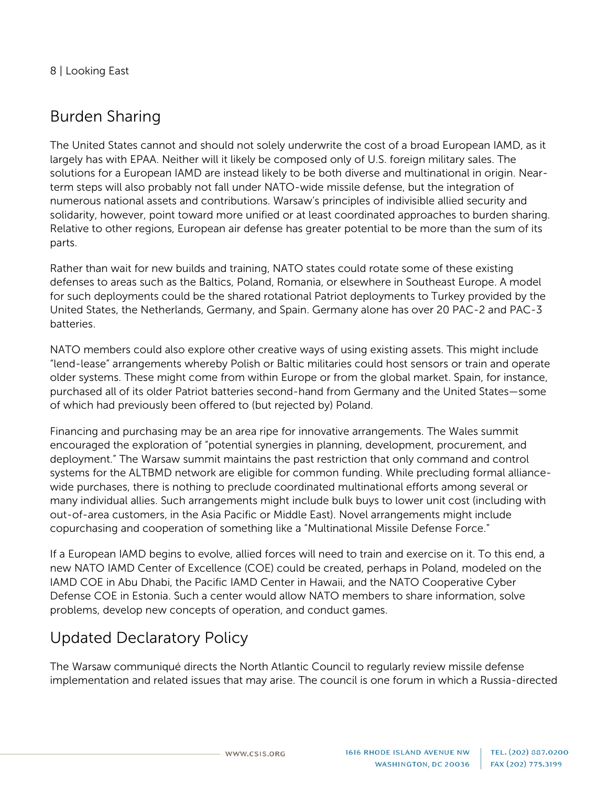## Burden Sharing

The United States cannot and should not solely underwrite the cost of a broad European IAMD, as it largely has with EPAA. Neither will it likely be composed only of U.S. foreign military sales. The solutions for a European IAMD are instead likely to be both diverse and multinational in origin. Nearterm steps will also probably not fall under NATO-wide missile defense, but the integration of numerous national assets and contributions. Warsaw's principles of indivisible allied security and solidarity, however, point toward more unified or at least coordinated approaches to burden sharing. Relative to other regions, European air defense has greater potential to be more than the sum of its parts.

Rather than wait for new builds and training, NATO states could rotate some of these existing defenses to areas such as the Baltics, Poland, Romania, or elsewhere in Southeast Europe. A model for such deployments could be the shared rotational Patriot deployments to Turkey provided by the United States, the Netherlands, Germany, and Spain. Germany alone has over 20 PAC-2 and PAC-3 batteries.

NATO members could also explore other creative ways of using existing assets. This might include "lend-lease" arrangements whereby Polish or Baltic militaries could host sensors or train and operate older systems. These might come from within Europe or from the global market. Spain, for instance, purchased all of its older Patriot batteries second-hand from Germany and the United States—some of which had previously been offered to (but rejected by) Poland.

Financing and purchasing may be an area ripe for innovative arrangements. The Wales summit encouraged the exploration of "potential synergies in planning, development, procurement, and deployment." The Warsaw summit maintains the past restriction that only command and control systems for the ALTBMD network are eligible for common funding. While precluding formal alliancewide purchases, there is nothing to preclude coordinated multinational efforts among several or many individual allies. Such arrangements might include bulk buys to lower unit cost (including with out-of-area customers, in the Asia Pacific or Middle East). Novel arrangements might include copurchasing and cooperation of something like a "Multinational Missile Defense Force."

If a European IAMD begins to evolve, allied forces will need to train and exercise on it. To this end, a new NATO IAMD Center of Excellence (COE) could be created, perhaps in Poland, modeled on the IAMD COE in Abu Dhabi, the Pacific IAMD Center in Hawaii, and the NATO Cooperative Cyber Defense COE in Estonia. Such a center would allow NATO members to share information, solve problems, develop new concepts of operation, and conduct games.

## Updated Declaratory Policy

The Warsaw communiqué directs the North Atlantic Council to regularly review missile defense implementation and related issues that may arise. The council is one forum in which a Russia-directed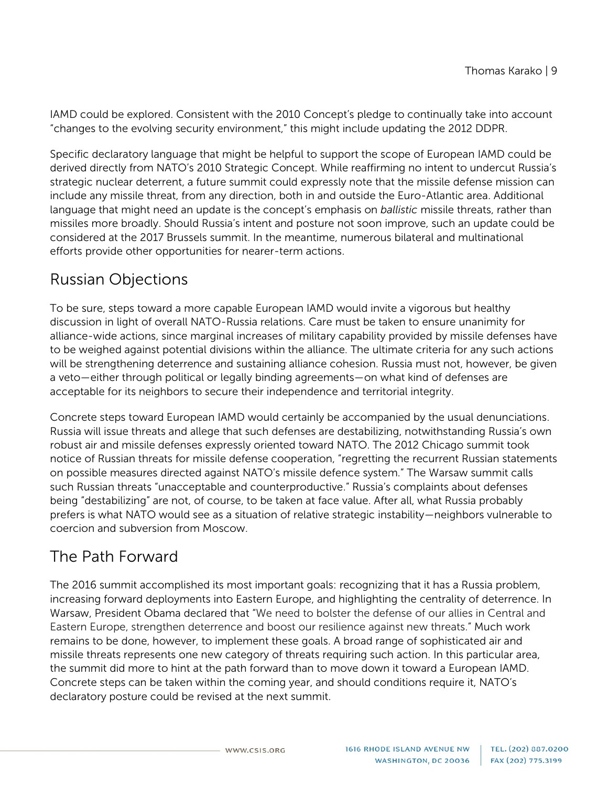IAMD could be explored. Consistent with the 2010 Concept's pledge to continually take into account "changes to the evolving security environment," this might include updating the 2012 DDPR.

Specific declaratory language that might be helpful to support the scope of European IAMD could be derived directly from NATO's 2010 Strategic Concept. While reaffirming no intent to undercut Russia's strategic nuclear deterrent, a future summit could expressly note that the missile defense mission can include any missile threat, from any direction, both in and outside the Euro-Atlantic area. Additional language that might need an update is the concept's emphasis on *ballistic* missile threats, rather than missiles more broadly. Should Russia's intent and posture not soon improve, such an update could be considered at the 2017 Brussels summit. In the meantime, numerous bilateral and multinational efforts provide other opportunities for nearer-term actions.

#### Russian Objections

To be sure, steps toward a more capable European IAMD would invite a vigorous but healthy discussion in light of overall NATO-Russia relations. Care must be taken to ensure unanimity for alliance-wide actions, since marginal increases of military capability provided by missile defenses have to be weighed against potential divisions within the alliance. The ultimate criteria for any such actions will be strengthening deterrence and sustaining alliance cohesion. Russia must not, however, be given a veto—either through political or legally binding agreements—on what kind of defenses are acceptable for its neighbors to secure their independence and territorial integrity.

Concrete steps toward European IAMD would certainly be accompanied by the usual denunciations. Russia will issue threats and allege that such defenses are destabilizing, notwithstanding Russia's own robust air and missile defenses expressly oriented toward NATO. The 2012 Chicago summit took notice of Russian threats for missile defense cooperation, "regretting the recurrent Russian statements on possible measures directed against NATO's missile defence system." The Warsaw summit calls such Russian threats "unacceptable and counterproductive." Russia's complaints about defenses being "destabilizing" are not, of course, to be taken at face value. After all, what Russia probably prefers is what NATO would see as a situation of relative strategic instability—neighbors vulnerable to coercion and subversion from Moscow.

#### The Path Forward

The 2016 summit accomplished its most important goals: recognizing that it has a Russia problem, increasing forward deployments into Eastern Europe, and highlighting the centrality of deterrence. In Warsaw, President Obama declared that "We need to bolster the defense of our allies in Central and Eastern Europe, strengthen deterrence and boost our resilience against new threats." Much work remains to be done, however, to implement these goals. A broad range of sophisticated air and missile threats represents one new category of threats requiring such action. In this particular area, the summit did more to hint at the path forward than to move down it toward a European IAMD. Concrete steps can be taken within the coming year, and should conditions require it, NATO's declaratory posture could be revised at the next summit.